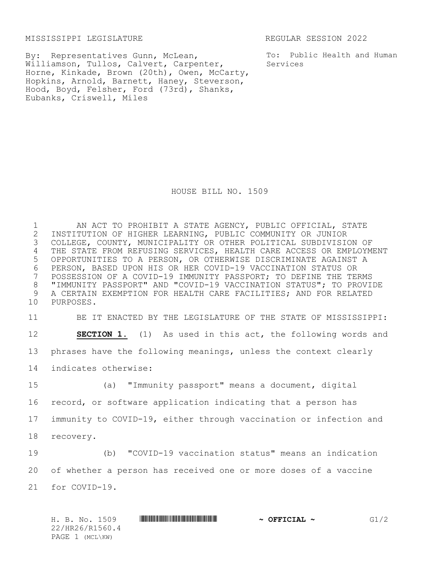MISSISSIPPI LEGISLATURE REGULAR SESSION 2022

By: Representatives Gunn, McLean, Williamson, Tullos, Calvert, Carpenter, Horne, Kinkade, Brown (20th), Owen, McCarty, Hopkins, Arnold, Barnett, Haney, Steverson, Hood, Boyd, Felsher, Ford (73rd), Shanks, Eubanks, Criswell, Miles

To: Public Health and Human Services

HOUSE BILL NO. 1509

 AN ACT TO PROHIBIT A STATE AGENCY, PUBLIC OFFICIAL, STATE 2 INSTITUTION OF HIGHER LEARNING, PUBLIC COMMUNITY OR JUNIOR<br>3 COLLEGE, COUNTY, MUNICIPALITY OR OTHER POLITICAL SUBDIVISIO COLLEGE, COUNTY, MUNICIPALITY OR OTHER POLITICAL SUBDIVISION OF THE STATE FROM REFUSING SERVICES, HEALTH CARE ACCESS OR EMPLOYMENT OPPORTUNITIES TO A PERSON, OR OTHERWISE DISCRIMINATE AGAINST A 6 PERSON, BASED UPON HIS OR HER COVID-19 VACCINATION STATUS OR<br>7 POSSESSION OF A COVID-19 IMMUNITY PASSPORT; TO DEFINE THE TEI POSSESSION OF A COVID-19 IMMUNITY PASSPORT; TO DEFINE THE TERMS "IMMUNITY PASSPORT" AND "COVID-19 VACCINATION STATUS"; TO PROVIDE A CERTAIN EXEMPTION FOR HEALTH CARE FACILITIES; AND FOR RELATED PURPOSES.

 BE IT ENACTED BY THE LEGISLATURE OF THE STATE OF MISSISSIPPI: **SECTION 1.** (1) As used in this act, the following words and phrases have the following meanings, unless the context clearly indicates otherwise:

 (a) "Immunity passport" means a document, digital record, or software application indicating that a person has immunity to COVID-19, either through vaccination or infection and recovery.

19 (b) "COVID-19 vaccination status" means an indication 20 of whether a person has received one or more doses of a vaccine 21 for COVID-19.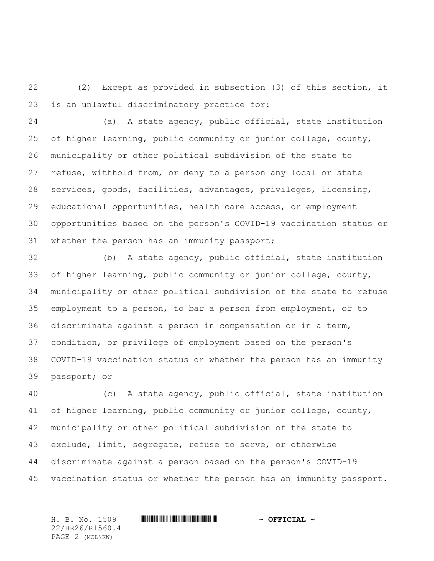(2) Except as provided in subsection (3) of this section, it is an unlawful discriminatory practice for:

 (a) A state agency, public official, state institution of higher learning, public community or junior college, county, municipality or other political subdivision of the state to refuse, withhold from, or deny to a person any local or state services, goods, facilities, advantages, privileges, licensing, educational opportunities, health care access, or employment opportunities based on the person's COVID-19 vaccination status or whether the person has an immunity passport;

 (b) A state agency, public official, state institution of higher learning, public community or junior college, county, municipality or other political subdivision of the state to refuse employment to a person, to bar a person from employment, or to discriminate against a person in compensation or in a term, condition, or privilege of employment based on the person's COVID-19 vaccination status or whether the person has an immunity passport; or

 (c) A state agency, public official, state institution of higher learning, public community or junior college, county, municipality or other political subdivision of the state to exclude, limit, segregate, refuse to serve, or otherwise discriminate against a person based on the person's COVID-19 vaccination status or whether the person has an immunity passport.

H. B. No. 1509 \*HR26/R1560.4\* **~ OFFICIAL ~** 22/HR26/R1560.4 PAGE 2 (MCL\KW)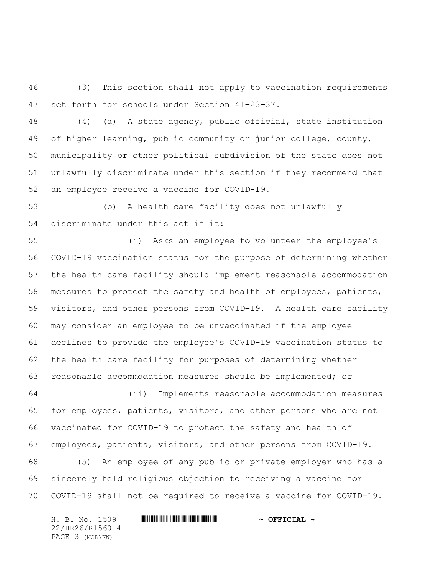(3) This section shall not apply to vaccination requirements set forth for schools under Section 41-23-37.

 (4) (a) A state agency, public official, state institution of higher learning, public community or junior college, county, municipality or other political subdivision of the state does not unlawfully discriminate under this section if they recommend that an employee receive a vaccine for COVID-19.

 (b) A health care facility does not unlawfully discriminate under this act if it:

 (i) Asks an employee to volunteer the employee's COVID-19 vaccination status for the purpose of determining whether the health care facility should implement reasonable accommodation measures to protect the safety and health of employees, patients, visitors, and other persons from COVID-19. A health care facility may consider an employee to be unvaccinated if the employee declines to provide the employee's COVID-19 vaccination status to the health care facility for purposes of determining whether reasonable accommodation measures should be implemented; or

 (ii) Implements reasonable accommodation measures for employees, patients, visitors, and other persons who are not vaccinated for COVID-19 to protect the safety and health of employees, patients, visitors, and other persons from COVID-19.

 (5) An employee of any public or private employer who has a sincerely held religious objection to receiving a vaccine for COVID-19 shall not be required to receive a vaccine for COVID-19.

H. B. No. 1509 **. AND AND AN ADDED \*** OFFICIAL ~ 22/HR26/R1560.4 PAGE 3 (MCL\KW)